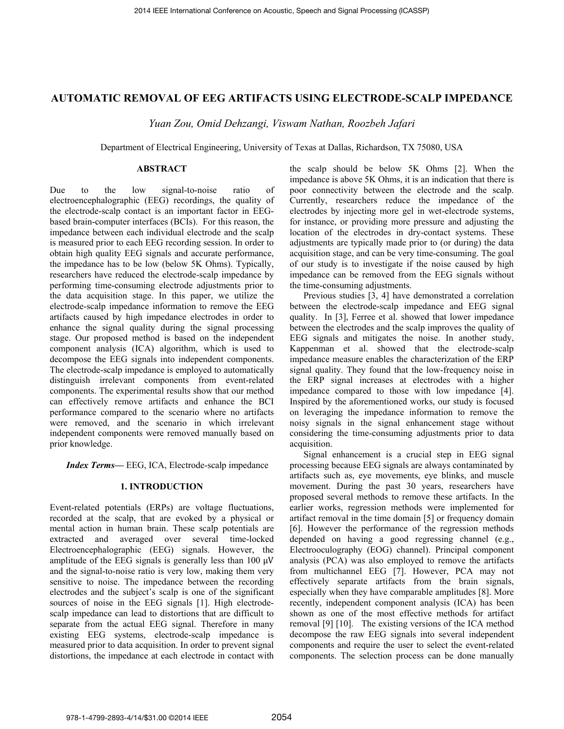# **AUTOMATIC REMOVAL OF EEG ARTIFACTS USING ELECTRODE-SCALP IMPEDANCE**

Yuan Zou, Omid Dehzangi, Viswam Nathan, Roozbeh Jafari

Department of Electrical Engineering, University of Texas at Dallas, Richardson, TX 75080, USA

### **ABSTRACT**

Due the signal-to-noise  $f_{\Omega}$ low ratio of electroencephalographic (EEG) recordings, the quality of the electrode-scalp contact is an important factor in EEGbased brain-computer interfaces (BCIs). For this reason, the impedance between each individual electrode and the scalp is measured prior to each EEG recording session. In order to obtain high quality EEG signals and accurate performance, the impedance has to be low (below 5K Ohms). Typically, researchers have reduced the electrode-scalp impedance by performing time-consuming electrode adjustments prior to the data acquisition stage. In this paper, we utilize the electrode-scalp impedance information to remove the EEG artifacts caused by high impedance electrodes in order to enhance the signal quality during the signal processing stage. Our proposed method is based on the independent component analysis (ICA) algorithm, which is used to decompose the EEG signals into independent components. The electrode-scalp impedance is employed to automatically distinguish irrelevant components from event-related components. The experimental results show that our method can effectively remove artifacts and enhance the BCI performance compared to the scenario where no artifacts were removed, and the scenario in which irrelevant independent components were removed manually based on prior knowledge.

Index Terms-EEG, ICA, Electrode-scalp impedance

# **1. INTRODUCTION**

Event-related potentials (ERPs) are voltage fluctuations, recorded at the scalp, that are evoked by a physical or mental action in human brain. These scalp potentials are extracted and averaged over several time-locked Electroencephalographic (EEG) signals. However, the amplitude of the EEG signals is generally less than 100  $\mu$ V and the signal-to-noise ratio is very low, making them very sensitive to noise. The impedance between the recording electrodes and the subject's scalp is one of the significant sources of noise in the EEG signals [1]. High electrodescalp impedance can lead to distortions that are difficult to separate from the actual EEG signal. Therefore in many existing EEG systems, electrode-scalp impedance is measured prior to data acquisition. In order to prevent signal distortions, the impedance at each electrode in contact with

the scalp should be below 5K Ohms [2]. When the impedance is above 5K Ohms, it is an indication that there is poor connectivity between the electrode and the scalp. Currently, researchers reduce the impedance of the electrodes by injecting more gel in wet-electrode systems, for instance, or providing more pressure and adjusting the location of the electrodes in dry-contact systems. These adjustments are typically made prior to (or during) the data acquisition stage, and can be very time-consuming. The goal of our study is to investigate if the noise caused by high impedance can be removed from the EEG signals without the time-consuming adjustments.

Previous studies [3, 4] have demonstrated a correlation between the electrode-scalp impedance and EEG signal quality. In [3], Ferree et al. showed that lower impedance between the electrodes and the scalp improves the quality of EEG signals and mitigates the noise. In another study, Kappenman et al. showed that the electrode-scalp impedance measure enables the characterization of the ERP signal quality. They found that the low-frequency noise in the ERP signal increases at electrodes with a higher impedance compared to those with low impedance [4]. Inspired by the aforementioned works, our study is focused on leveraging the impedance information to remove the noisy signals in the signal enhancement stage without considering the time-consuming adjustments prior to data acquisition.

Signal enhancement is a crucial step in EEG signal processing because EEG signals are always contaminated by artifacts such as, eye movements, eye blinks, and muscle movement. During the past 30 years, researchers have proposed several methods to remove these artifacts. In the earlier works, regression methods were implemented for artifact removal in the time domain [5] or frequency domain [6]. However the performance of the regression methods depended on having a good regressing channel (e.g., Electrooculography (EOG) channel). Principal component analysis (PCA) was also employed to remove the artifacts from multichannel EEG [7]. However, PCA may not effectively separate artifacts from the brain signals, especially when they have comparable amplitudes [8]. More recently, independent component analysis (ICA) has been shown as one of the most effective methods for artifact removal [9] [10]. The existing versions of the ICA method decompose the raw EEG signals into several independent components and require the user to select the event-related components. The selection process can be done manually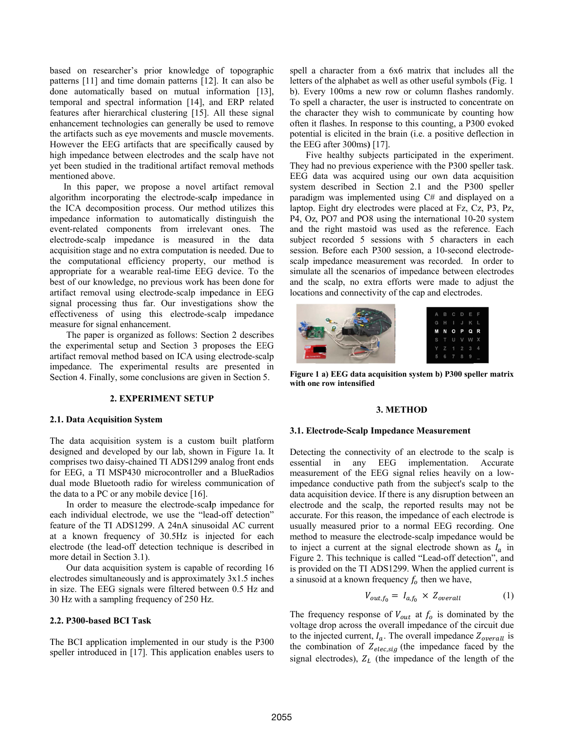based on researcher's prior knowledge of topographic patterns [11] and time domain patterns [12]. It can also be done automatically based on mutual information [13], temporal and spectral information [14], and ERP related features after hierarchical clustering [15]. All these signal enhancement technologies can generally be used to remove the artifacts such as eve movements and muscle movements. However the EEG artifacts that are specifically caused by high impedance between electrodes and the scalp have not vet been studied in the traditional artifact removal methods mentioned above.

In this paper, we propose a novel artifact removal algorithm incorporating the electrode-scalp impedance in the ICA decomposition process. Our method utilizes this impedance information to automatically distinguish the event-related components from irrelevant ones. The electrode-scalp impedance is measured in the data acquisition stage and no extra computation is needed. Due to the computational efficiency property, our method is appropriate for a wearable real-time EEG device. To the best of our knowledge, no previous work has been done for artifact removal using electrode-scalp impedance in EEG signal processing thus far. Our investigations show the effectiveness of using this electrode-scalp impedance measure for signal enhancement.

The paper is organized as follows: Section 2 describes the experimental setup and Section 3 proposes the EEG artifact removal method based on ICA using electrode-scalp impedance. The experimental results are presented in Section 4. Finally, some conclusions are given in Section 5.

### 2. EXPERIMENT SETUP

## 2.1. Data Acquisition System

The data acquisition system is a custom built platform designed and developed by our lab, shown in Figure 1a. It comprises two daisy-chained TI ADS1299 analog front ends for EEG, a TI MSP430 microcontroller and a BlueRadios dual mode Bluetooth radio for wireless communication of the data to a PC or any mobile device  $[16]$ .

In order to measure the electrode-scalp impedance for each individual electrode, we use the "lead-off detection" feature of the TI ADS1299. A 24nA sinusoidal AC current at a known frequency of 30.5Hz is injected for each electrode (the lead-off detection technique is described in more detail in Section 3.1).

Our data acquisition system is capable of recording 16 electrodes simultaneously and is approximately  $3x1.5$  inches in size. The EEG signals were filtered between 0.5 Hz and 30 Hz with a sampling frequency of 250 Hz.

### 2.2. P300-based BCI Task

The BCI application implemented in our study is the P300 speller introduced in [17]. This application enables users to spell a character from a 6x6 matrix that includes all the letters of the alphabet as well as other useful symbols (Fig. 1 b). Every 100ms a new row or column flashes randomly. To spell a character, the user is instructed to concentrate on the character they wish to communicate by counting how often it flashes. In response to this counting, a P300 evoked potential is elicited in the brain (i.e. a positive deflection in the EEG after  $300 \text{ms}$ ) [17].

Five healthy subjects participated in the experiment. They had no previous experience with the P300 speller task. EEG data was acquired using our own data acquisition system described in Section 2.1 and the P300 speller paradigm was implemented using C# and displayed on a laptop. Eight dry electrodes were placed at Fz, Cz, P3, Pz, P4, Oz, PO7 and PO8 using the international 10-20 system and the right mastoid was used as the reference. Each subject recorded 5 sessions with 5 characters in each session. Before each P300 session, a 10-second electrodescalp impedance measurement was recorded. In order to simulate all the scenarios of impedance between electrodes and the scalp, no extra efforts were made to adjust the locations and connectivity of the cap and electrodes.



Figure 1 a) EEG data acquisition system b) P300 speller matrix with one row intensified

### 3. METHOD

#### 3.1. Electrode-Scalp Impedance Measurement

Detecting the connectivity of an electrode to the scalp is essential in any EEG implementation. Accurate measurement of the EEG signal relies heavily on a lowimpedance conductive path from the subject's scalp to the data acquisition device. If there is any disruption between an electrode and the scalp, the reported results may not be accurate. For this reason, the impedance of each electrode is usually measured prior to a normal EEG recording. One method to measure the electrode-scalp impedance would be to inject a current at the signal electrode shown as  $I_a$  in Figure 2. This technique is called "Lead-off detection", and is provided on the TI ADS1299. When the applied current is a sinusoid at a known frequency  $f_0$  then we have,

$$
V_{out,f_0} = I_{a,f_0} \times Z_{overall} \tag{1}
$$

The frequency response of  $V_{out}$  at  $f_0$  is dominated by the voltage drop across the overall impedance of the circuit due to the injected current,  $I_a$ . The overall impedance  $Z_{overall}$  is the combination of  $Z_{elec,sig}$  (the impedance faced by the signal electrodes),  $Z_L$  (the impedance of the length of the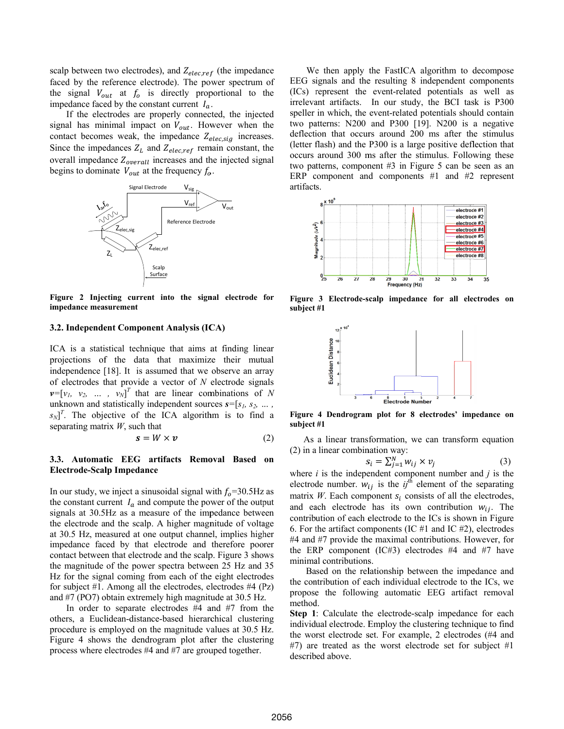scalp between two electrodes), and  $Z_{elec,ref}$  (the impedance faced by the reference electrode). The power spectrum of the signal  $V_{out}$  at  $f_0$  is directly proportional to the impedance faced by the constant current  $I_a$ .

If the electrodes are properly connected, the injected signal has minimal impact on  $V_{out}$ . However when the contact becomes weak, the impedance  $Z_{elec,sig}$  increases. Since the impedances  $Z_L$  and  $Z_{elec,ref}$  remain constant, the overall impedance  $Z_{overall}$  increases and the injected signal begins to dominate  $V_{out}$  at the frequency  $f_o$ .



Figure 2 Injecting current into the signal electrode for impedance measurement

### 3.2. Independent Component Analysis (ICA)

ICA is a statistical technique that aims at finding linear projections of the data that maximize their mutual independence [18]. It is assumed that we observe an array of electrodes that provide a vector of  $N$  electrode signals  $v=[v_1, v_2, ..., v_N]^T$  that are linear combinations of N unknown and statistically independent sources  $s = [s_1, s_2, \dots, s_n]$  $s_N$ <sup>T</sup>. The objective of the ICA algorithm is to find a separating matrix  $W$ , such that

$$
s = W \times v \tag{2}
$$

# 3.3. Automatic EEG artifacts Removal Based on **Electrode-Scalp Impedance**

In our study, we inject a sinusoidal signal with  $f_0$ =30.5Hz as the constant current  $I_a$  and compute the power of the output signals at 30.5Hz as a measure of the impedance between the electrode and the scalp. A higher magnitude of voltage at 30.5 Hz, measured at one output channel, implies higher impedance faced by that electrode and therefore poorer contact between that electrode and the scalp. Figure 3 shows the magnitude of the power spectra between 25 Hz and 35 Hz for the signal coming from each of the eight electrodes for subject #1. Among all the electrodes, electrodes #4  $(Pz)$ and #7 (PO7) obtain extremely high magnitude at 30.5 Hz.

In order to separate electrodes  $#4$  and  $#7$  from the others, a Euclidean-distance-based hierarchical clustering procedure is employed on the magnitude values at 30.5 Hz. Figure 4 shows the dendrogram plot after the clustering process where electrodes #4 and #7 are grouped together.

We then apply the FastICA algorithm to decompose EEG signals and the resulting 8 independent components (ICs) represent the event-related potentials as well as irrelevant artifacts. In our study, the BCI task is P300 speller in which, the event-related potentials should contain two patterns: N200 and P300 [19]. N200 is a negative deflection that occurs around 200 ms after the stimulus (letter flash) and the P300 is a large positive deflection that occurs around 300 ms after the stimulus. Following these two patterns, component #3 in Figure 5 can be seen as an ERP component and components  $#1$  and  $#2$  represent artifacts.



Figure 3 Electrode-scalp impedance for all electrodes on subject #1



Figure 4 Dendrogram plot for 8 electrodes' impedance on subject #1

As a linear transformation, we can transform equation  $(2)$  in a linear combination way:

$$
s_i = \sum_{i=1}^{N} w_{ij} \times v_i \tag{3}
$$

where  $i$  is the independent component number and  $j$  is the electrode number.  $w_{ij}$  is the  $ij^{\text{th}}$  element of the separating matrix  $W$ . Each component  $s_i$  consists of all the electrodes, and each electrode has its own contribution  $w_{ij}$ . The contribution of each electrode to the ICs is shown in Figure 6. For the artifact components (IC  $#1$  and IC  $#2$ ), electrodes #4 and #7 provide the maximal contributions. However, for the ERP component (IC#3) electrodes #4 and #7 have minimal contributions.

Based on the relationship between the impedance and the contribution of each individual electrode to the ICs, we propose the following automatic EEG artifact removal method.

Step 1: Calculate the electrode-scalp impedance for each individual electrode. Employ the clustering technique to find the worst electrode set. For example, 2 electrodes (#4 and #7) are treated as the worst electrode set for subject #1 described above.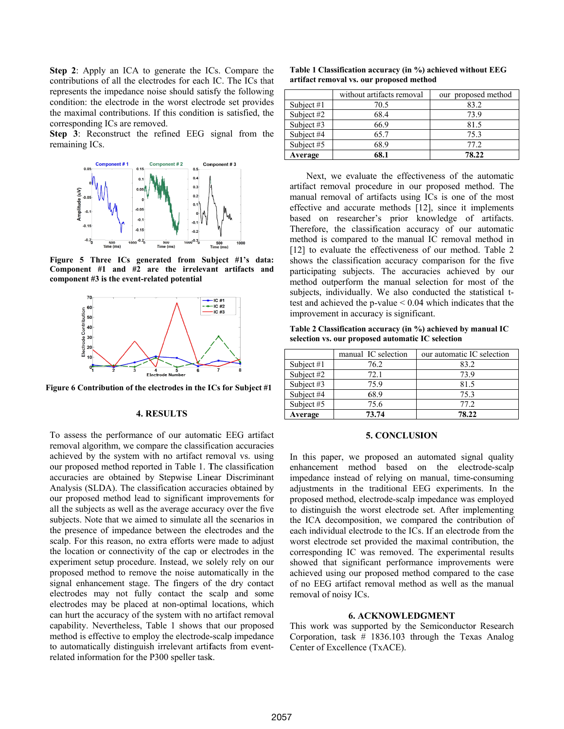**Step 2:** Apply an ICA to generate the ICs. Compare the contributions of all the electrodes for each IC. The ICs that represents the impedance noise should satisfy the following condition: the electrode in the worst electrode set provides the maximal contributions. If this condition is satisfied, the corresponding ICs are removed.

Step 3: Reconstruct the refined EEG signal from the remaining ICs.



Figure 5 Three ICs generated from Subject #1's data: Component #1 and #2 are the irrelevant artifacts and component #3 is the event-related potential



Figure 6 Contribution of the electrodes in the ICs for Subject #1

### **4. RESULTS**

To assess the performance of our automatic EEG artifact removal algorithm, we compare the classification accuracies achieved by the system with no artifact removal vs. using our proposed method reported in Table 1. The classification accuracies are obtained by Stepwise Linear Discriminant Analysis (SLDA). The classification accuracies obtained by our proposed method lead to significant improvements for all the subjects as well as the average accuracy over the five subjects. Note that we aimed to simulate all the scenarios in the presence of impedance between the electrodes and the scalp. For this reason, no extra efforts were made to adjust the location or connectivity of the cap or electrodes in the experiment setup procedure. Instead, we solely rely on our proposed method to remove the noise automatically in the signal enhancement stage. The fingers of the dry contact electrodes may not fully contact the scalp and some electrodes may be placed at non-optimal locations, which can hurt the accuracy of the system with no artifact removal capability. Nevertheless, Table 1 shows that our proposed method is effective to employ the electrode-scalp impedance to automatically distinguish irrelevant artifacts from eventrelated information for the P300 speller task.

| Table 1 Classification accuracy (in %) achieved without EEG |
|-------------------------------------------------------------|
| artifact removal vs. our proposed method                    |

|              | without artifacts removal | our proposed method |
|--------------|---------------------------|---------------------|
| Subject $#1$ | 70.5                      | 83.2                |
| Subject #2   | 68.4                      | 73.9                |
| Subject #3   | 66.9                      | 81.5                |
| Subject #4   | 65.7                      | 75.3                |
| Subject #5   | 68.9                      | 77 2                |
| Average      | 68.1                      | 78.22               |

Next, we evaluate the effectiveness of the automatic artifact removal procedure in our proposed method. The manual removal of artifacts using ICs is one of the most effective and accurate methods [12], since it implements based on researcher's prior knowledge of artifacts. Therefore, the classification accuracy of our automatic method is compared to the manual IC removal method in [12] to evaluate the effectiveness of our method. Table 2 shows the classification accuracy comparison for the five participating subjects. The accuracies achieved by our method outperform the manual selection for most of the subjects, individually. We also conducted the statistical ttest and achieved the p-value  $< 0.04$  which indicates that the improvement in accuracy is significant.

Table 2 Classification accuracy (in %) achieved by manual IC selection vs. our proposed automatic IC selection

|              | manual IC selection | our automatic IC selection |
|--------------|---------------------|----------------------------|
| Subject $#1$ | 76.2                | 83.2                       |
| Subject #2   | 72.1                | 73.9                       |
| Subject $#3$ | 75.9                | 81.5                       |
| Subject #4   | 68.9                | 75.3                       |
| Subject #5   | 75.6                | 77 2                       |
| Average      | 73.74               | 78.22                      |

## 5. CONCLUSION

In this paper, we proposed an automated signal quality enhancement method based on the electrode-scalp impedance instead of relying on manual, time-consuming adjustments in the traditional EEG experiments. In the proposed method, electrode-scalp impedance was employed to distinguish the worst electrode set. After implementing the ICA decomposition, we compared the contribution of each individual electrode to the ICs. If an electrode from the worst electrode set provided the maximal contribution, the corresponding IC was removed. The experimental results showed that significant performance improvements were achieved using our proposed method compared to the case of no EEG artifact removal method as well as the manual removal of noisy ICs.

### **6. ACKNOWLEDGMENT**

This work was supported by the Semiconductor Research Corporation, task  $#$  1836.103 through the Texas Analog Center of Excellence (TxACE).